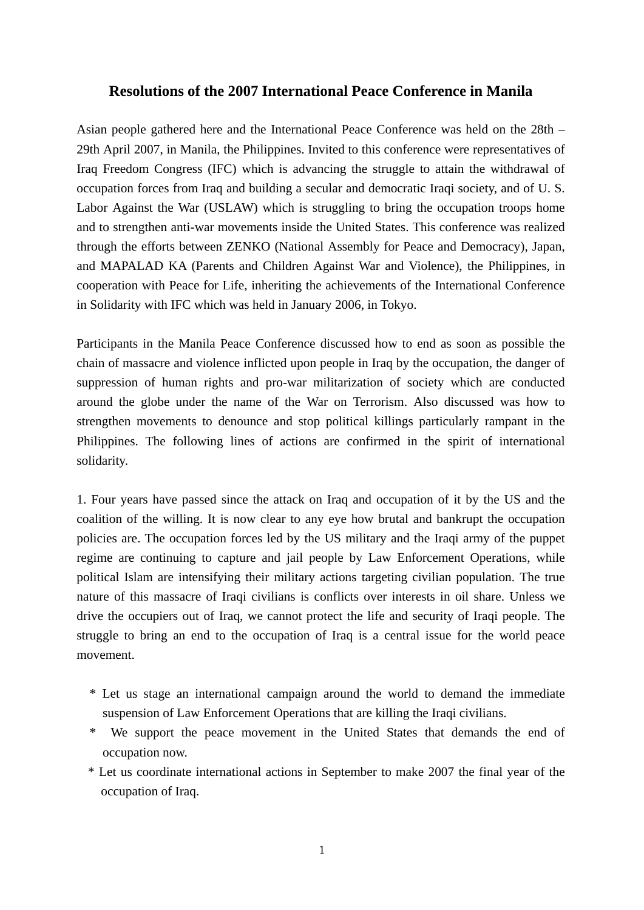## **Resolutions of the 2007 International Peace Conference in Manila**

Asian people gathered here and the International Peace Conference was held on the 28th – 29th April 2007, in Manila, the Philippines. Invited to this conference were representatives of Iraq Freedom Congress (IFC) which is advancing the struggle to attain the withdrawal of occupation forces from Iraq and building a secular and democratic Iraqi society, and of U. S. Labor Against the War (USLAW) which is struggling to bring the occupation troops home and to strengthen anti-war movements inside the United States. This conference was realized through the efforts between ZENKO (National Assembly for Peace and Democracy), Japan, and MAPALAD KA (Parents and Children Against War and Violence), the Philippines, in cooperation with Peace for Life, inheriting the achievements of the International Conference in Solidarity with IFC which was held in January 2006, in Tokyo.

Participants in the Manila Peace Conference discussed how to end as soon as possible the chain of massacre and violence inflicted upon people in Iraq by the occupation, the danger of suppression of human rights and pro-war militarization of society which are conducted around the globe under the name of the War on Terrorism. Also discussed was how to strengthen movements to denounce and stop political killings particularly rampant in the Philippines. The following lines of actions are confirmed in the spirit of international solidarity.

1. Four years have passed since the attack on Iraq and occupation of it by the US and the coalition of the willing. It is now clear to any eye how brutal and bankrupt the occupation policies are. The occupation forces led by the US military and the Iraqi army of the puppet regime are continuing to capture and jail people by Law Enforcement Operations, while political Islam are intensifying their military actions targeting civilian population. The true nature of this massacre of Iraqi civilians is conflicts over interests in oil share. Unless we drive the occupiers out of Iraq, we cannot protect the life and security of Iraqi people. The struggle to bring an end to the occupation of Iraq is a central issue for the world peace movement.

- \* Let us stage an international campaign around the world to demand the immediate suspension of Law Enforcement Operations that are killing the Iraqi civilians.
- \* We support the peace movement in the United States that demands the end of occupation now.
- \* Let us coordinate international actions in September to make 2007 the final year of the occupation of Iraq.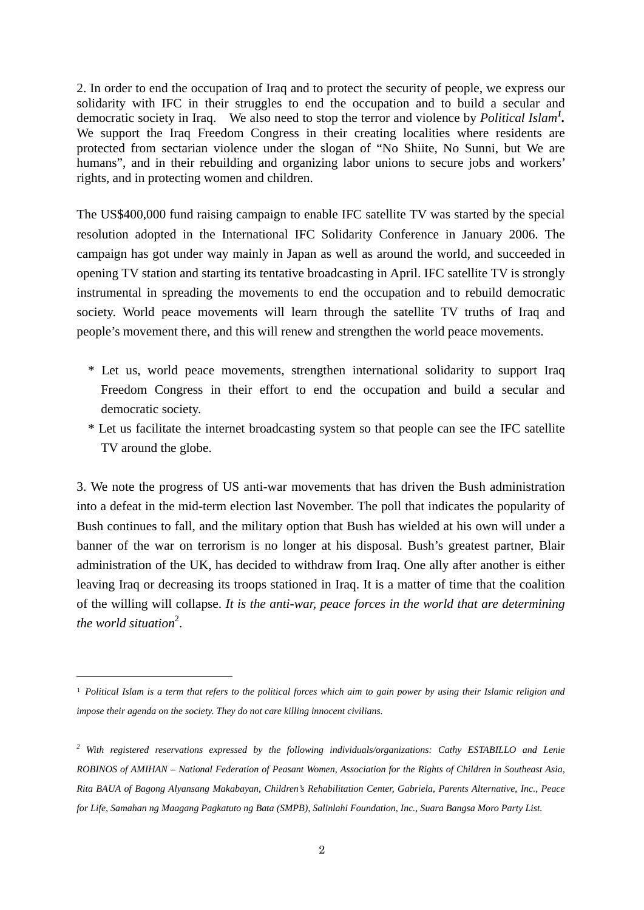2. In order to end the occupation of Iraq and to protect the security of people, we express our solidarity with IFC in their struggles to end the occupation and to build a secular and democratic society in Iraq. We also need to stop the terror and violence by *Political Islam<sup>1</sup> .* We support the Iraq Freedom Congress in their creating localities where residents are protected from sectarian violence under the slogan of "No Shiite, No Sunni, but We are humans", and in their rebuilding and organizing labor unions to secure jobs and workers' rights, and in protecting women and children.

The US\$400,000 fund raising campaign to enable IFC satellite TV was started by the special resolution adopted in the International IFC Solidarity Conference in January 2006. The campaign has got under way mainly in Japan as well as around the world, and succeeded in opening TV station and starting its tentative broadcasting in April. IFC satellite TV is strongly instrumental in spreading the movements to end the occupation and to rebuild democratic society. World peace movements will learn through the satellite TV truths of Iraq and people's movement there, and this will renew and strengthen the world peace movements.

- \* Let us, world peace movements, strengthen international solidarity to support Iraq Freedom Congress in their effort to end the occupation and build a secular and democratic society.
- \* Let us facilitate the internet broadcasting system so that people can see the IFC satellite TV around the globe.

3. We note the progress of US anti-war movements that has driven the Bush administration into a defeat in the mid-term election last November. The poll that indicates the popularity of Bush continues to fall, and the military option that Bush has wielded at his own will under a banner of the war on terrorism is no longer at his disposal. Bush's greatest partner, Blair administration of the UK, has decided to withdraw from Iraq. One ally after another is either leaving Iraq or decreasing its troops stationed in Iraq. It is a matter of time that the coalition of the willing will collapse. *It is the anti-war, peace forces in the world that are determining*  the world situation<sup>2</sup>.

-

<sup>1</sup> *Political Islam is a term that refers to the political forces which aim to gain power by using their Islamic religion and impose their agenda on the society. They do not care killing innocent civilians.* 

*<sup>2</sup> With registered reservations expressed by the following individuals/organizations: Cathy ESTABILLO and Lenie ROBINOS of AMIHAN – National Federation of Peasant Women, Association for the Rights of Children in Southeast Asia, Rita BAUA of Bagong Alyansang Makabayan, Children's Rehabilitation Center, Gabriela, Parents Alternative, Inc., Peace for Life, Samahan ng Maagang Pagkatuto ng Bata (SMPB), Salinlahi Foundation, Inc., Suara Bangsa Moro Party List.*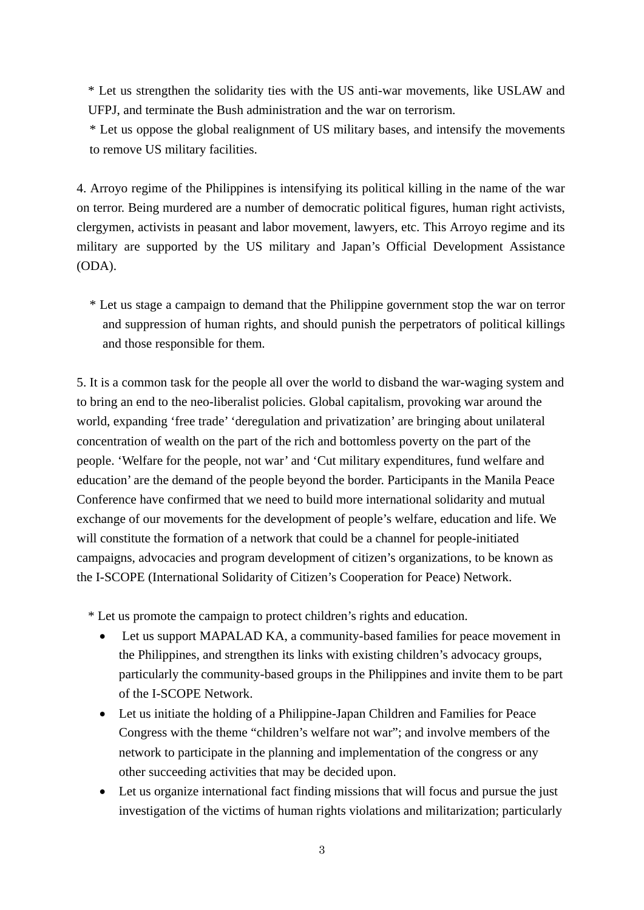\* Let us strengthen the solidarity ties with the US anti-war movements, like USLAW and UFPJ, and terminate the Bush administration and the war on terrorism.

 \* Let us oppose the global realignment of US military bases, and intensify the movements to remove US military facilities.

4. Arroyo regime of the Philippines is intensifying its political killing in the name of the war on terror. Being murdered are a number of democratic political figures, human right activists, clergymen, activists in peasant and labor movement, lawyers, etc. This Arroyo regime and its military are supported by the US military and Japan's Official Development Assistance (ODA).

 \* Let us stage a campaign to demand that the Philippine government stop the war on terror and suppression of human rights, and should punish the perpetrators of political killings and those responsible for them.

5. It is a common task for the people all over the world to disband the war-waging system and to bring an end to the neo-liberalist policies. Global capitalism, provoking war around the world, expanding 'free trade' 'deregulation and privatization' are bringing about unilateral concentration of wealth on the part of the rich and bottomless poverty on the part of the people. 'Welfare for the people, not war' and 'Cut military expenditures, fund welfare and education' are the demand of the people beyond the border. Participants in the Manila Peace Conference have confirmed that we need to build more international solidarity and mutual exchange of our movements for the development of people's welfare, education and life. We will constitute the formation of a network that could be a channel for people-initiated campaigns, advocacies and program development of citizen's organizations, to be known as the I-SCOPE (International Solidarity of Citizen's Cooperation for Peace) Network.

\* Let us promote the campaign to protect children's rights and education.

- Let us support MAPALAD KA, a community-based families for peace movement in the Philippines, and strengthen its links with existing children's advocacy groups, particularly the community-based groups in the Philippines and invite them to be part of the I-SCOPE Network.
- Let us initiate the holding of a Philippine-Japan Children and Families for Peace Congress with the theme "children's welfare not war"; and involve members of the network to participate in the planning and implementation of the congress or any other succeeding activities that may be decided upon.
- Let us organize international fact finding missions that will focus and pursue the just investigation of the victims of human rights violations and militarization; particularly